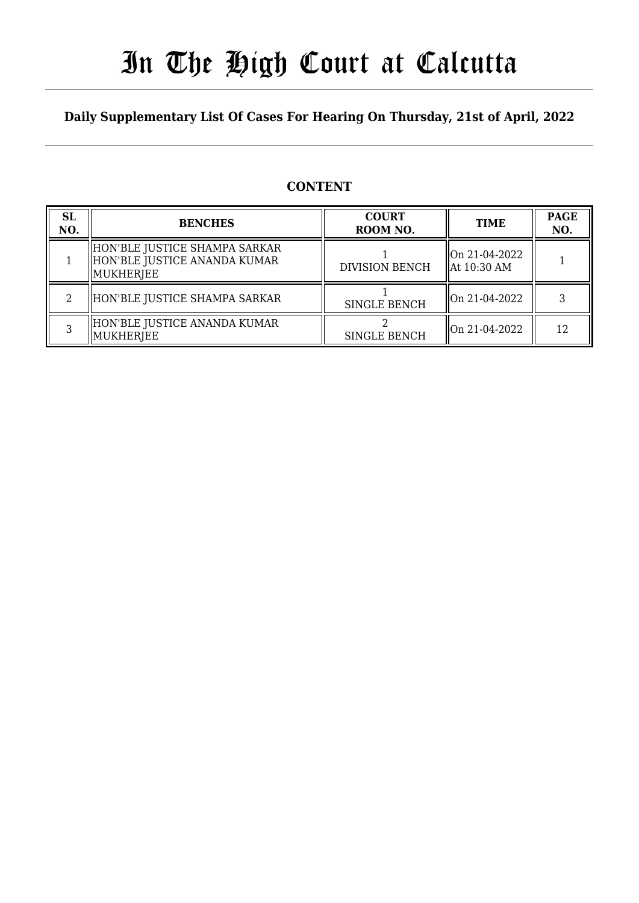## In The High Court at Calcutta

#### **Daily Supplementary List Of Cases For Hearing On Thursday, 21st of April, 2022**

#### **CONTENT**

| <b>SL</b><br>NO. | <b>BENCHES</b>                                                               | <b>COURT</b><br>ROOM NO. | <b>TIME</b>                              | <b>PAGE</b><br>NO. |
|------------------|------------------------------------------------------------------------------|--------------------------|------------------------------------------|--------------------|
|                  | HON'BLE JUSTICE SHAMPA SARKAR<br>HON'BLE JUSTICE ANANDA KUMAR<br>  MUKHERJEE | <b>DIVISION BENCH</b>    | On 21-04-2022<br>$\parallel$ At 10:30 AM |                    |
|                  | HON'BLE JUSTICE SHAMPA SARKAR                                                | <b>SINGLE BENCH</b>      | $\parallel$ On 21-04-2022                |                    |
|                  | HON'BLE JUSTICE ANANDA KUMAR<br>MUKHERJEE                                    | <b>SINGLE BENCH</b>      | $\parallel$ On 21-04-2022                | 12                 |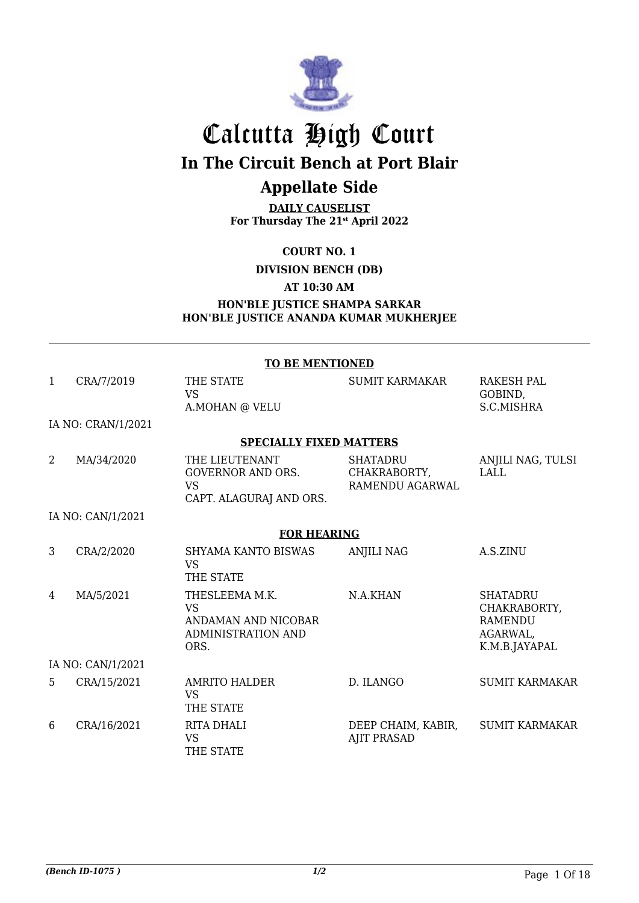

## Calcutta High Court **In The Circuit Bench at Port Blair**

### **Appellate Side**

**DAILY CAUSELIST For Thursday The 21st April 2022**

**COURT NO. 1**

**DIVISION BENCH (DB)**

**AT 10:30 AM**

#### **HON'BLE JUSTICE SHAMPA SARKAR HON'BLE JUSTICE ANANDA KUMAR MUKHERJEE**

|                | <b>TO BE MENTIONED</b> |                                                                                         |                                                    |                                                                                |  |  |
|----------------|------------------------|-----------------------------------------------------------------------------------------|----------------------------------------------------|--------------------------------------------------------------------------------|--|--|
| $\mathbf{1}$   | CRA/7/2019             | THE STATE<br><b>VS</b><br>A.MOHAN @ VELU                                                | <b>SUMIT KARMAKAR</b>                              | <b>RAKESH PAL</b><br>GOBIND,<br>S.C.MISHRA                                     |  |  |
|                | IA NO: CRAN/1/2021     |                                                                                         |                                                    |                                                                                |  |  |
|                |                        | <b>SPECIALLY FIXED MATTERS</b>                                                          |                                                    |                                                                                |  |  |
| $\overline{2}$ | MA/34/2020             | THE LIEUTENANT<br><b>GOVERNOR AND ORS.</b><br><b>VS</b><br>CAPT. ALAGURAJ AND ORS.      | <b>SHATADRU</b><br>CHAKRABORTY,<br>RAMENDU AGARWAL | ANJILI NAG, TULSI<br><b>LALL</b>                                               |  |  |
|                | IA NO: CAN/1/2021      |                                                                                         |                                                    |                                                                                |  |  |
|                |                        | <b>FOR HEARING</b>                                                                      |                                                    |                                                                                |  |  |
| 3              | CRA/2/2020             | <b>SHYAMA KANTO BISWAS</b><br><b>VS</b><br>THE STATE                                    | <b>ANJILI NAG</b>                                  | A.S.ZINU                                                                       |  |  |
| 4              | MA/5/2021              | THESLEEMA M.K.<br><b>VS</b><br>ANDAMAN AND NICOBAR<br><b>ADMINISTRATION AND</b><br>ORS. | N.A.KHAN                                           | <b>SHATADRU</b><br>CHAKRABORTY,<br><b>RAMENDU</b><br>AGARWAL,<br>K.M.B.JAYAPAL |  |  |
|                | IA NO: CAN/1/2021      |                                                                                         |                                                    |                                                                                |  |  |
| 5              | CRA/15/2021            | <b>AMRITO HALDER</b><br><b>VS</b><br>THE STATE                                          | D. ILANGO                                          | <b>SUMIT KARMAKAR</b>                                                          |  |  |
| 6              | CRA/16/2021            | <b>RITA DHALI</b><br><b>VS</b><br>THE STATE                                             | DEEP CHAIM, KABIR,<br><b>AJIT PRASAD</b>           | <b>SUMIT KARMAKAR</b>                                                          |  |  |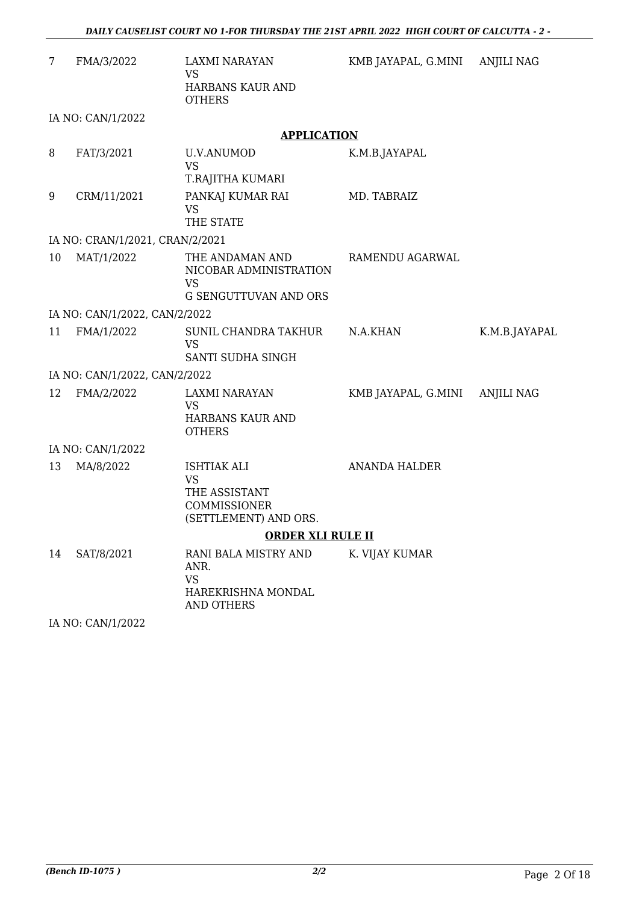| 7  | FMA/3/2022                      | LAXMI NARAYAN<br>VS<br>HARBANS KAUR AND                                                   | KMB JAYAPAL, G.MINI ANJILI NAG |               |
|----|---------------------------------|-------------------------------------------------------------------------------------------|--------------------------------|---------------|
|    | IA NO: CAN/1/2022               | <b>OTHERS</b>                                                                             |                                |               |
|    |                                 | <b>APPLICATION</b>                                                                        |                                |               |
| 8  | FAT/3/2021                      | <b>U.V.ANUMOD</b><br><b>VS</b><br>T.RAJITHA KUMARI                                        | K.M.B.JAYAPAL                  |               |
| 9  | CRM/11/2021                     | PANKAJ KUMAR RAI<br><b>VS</b><br>THE STATE                                                | MD. TABRAIZ                    |               |
|    | IA NO: CRAN/1/2021, CRAN/2/2021 |                                                                                           |                                |               |
| 10 | MAT/1/2022                      | THE ANDAMAN AND<br>NICOBAR ADMINISTRATION<br><b>VS</b><br><b>G SENGUTTUVAN AND ORS</b>    | RAMENDU AGARWAL                |               |
|    | IA NO: CAN/1/2022, CAN/2/2022   |                                                                                           |                                |               |
| 11 | FMA/1/2022                      | SUNIL CHANDRA TAKHUR<br><b>VS</b><br>SANTI SUDHA SINGH                                    | N.A.KHAN                       | K.M.B.JAYAPAL |
|    | IA NO: CAN/1/2022, CAN/2/2022   |                                                                                           |                                |               |
| 12 | FMA/2/2022                      | LAXMI NARAYAN<br><b>VS</b><br>HARBANS KAUR AND<br><b>OTHERS</b>                           | KMB JAYAPAL, G.MINI            | ANJILI NAG    |
|    | IA NO: CAN/1/2022               |                                                                                           |                                |               |
| 13 | MA/8/2022                       | <b>ISHTIAK ALI</b><br><b>VS</b><br>THE ASSISTANT<br>COMMISSIONER<br>(SETTLEMENT) AND ORS. | <b>ANANDA HALDER</b>           |               |
|    |                                 | <b>ORDER XLI RULE II</b>                                                                  |                                |               |
| 14 | SAT/8/2021                      | RANI BALA MISTRY AND<br>ANR.<br><b>VS</b><br>HAREKRISHNA MONDAL<br>AND OTHERS             | K. VIJAY KUMAR                 |               |

IA NO: CAN/1/2022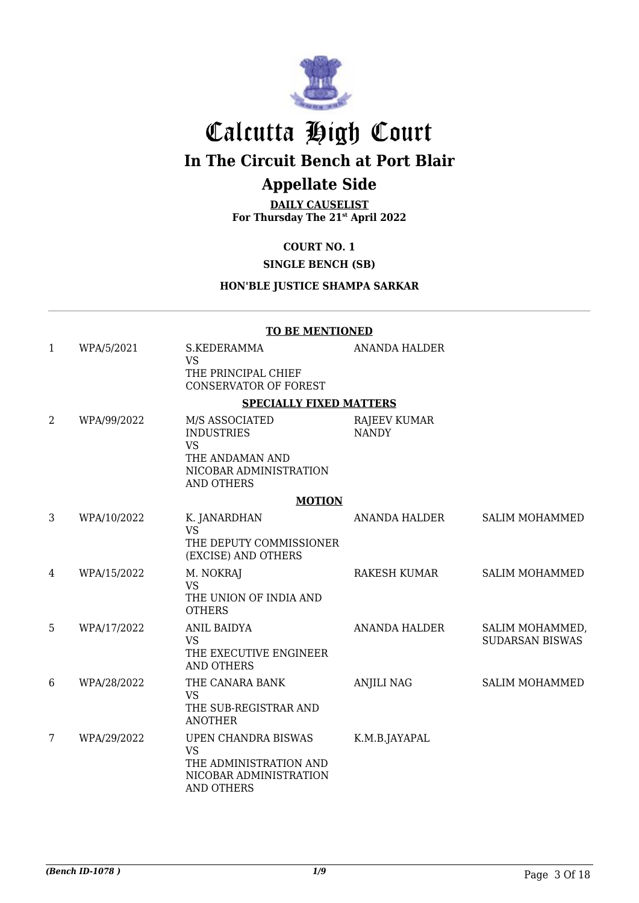

## Calcutta High Court

**In The Circuit Bench at Port Blair**

### **Appellate Side**

**DAILY CAUSELIST For Thursday The 21st April 2022**

#### **COURT NO. 1**

#### **SINGLE BENCH (SB)**

#### **HON'BLE JUSTICE SHAMPA SARKAR**

#### **TO BE MENTIONED**

| $\mathbf{1}$ | WPA/5/2021  | S.KEDERAMMA<br><b>VS</b><br>THE PRINCIPAL CHIEF<br><b>CONSERVATOR OF FOREST</b>                                    | <b>ANANDA HALDER</b>         |                                           |
|--------------|-------------|--------------------------------------------------------------------------------------------------------------------|------------------------------|-------------------------------------------|
|              |             | <b>SPECIALLY FIXED MATTERS</b>                                                                                     |                              |                                           |
| 2            | WPA/99/2022 | M/S ASSOCIATED<br><b>INDUSTRIES</b><br><b>VS</b><br>THE ANDAMAN AND<br>NICOBAR ADMINISTRATION<br><b>AND OTHERS</b> | RAJEEV KUMAR<br><b>NANDY</b> |                                           |
|              |             | <b>MOTION</b>                                                                                                      |                              |                                           |
| 3            | WPA/10/2022 | K. JANARDHAN<br><b>VS</b><br>THE DEPUTY COMMISSIONER<br>(EXCISE) AND OTHERS                                        | ANANDA HALDER                | <b>SALIM MOHAMMED</b>                     |
| 4            | WPA/15/2022 | M. NOKRAJ<br><b>VS</b><br>THE UNION OF INDIA AND<br><b>OTHERS</b>                                                  | RAKESH KUMAR                 | <b>SALIM MOHAMMED</b>                     |
| 5            | WPA/17/2022 | <b>ANIL BAIDYA</b><br><b>VS</b><br>THE EXECUTIVE ENGINEER<br><b>AND OTHERS</b>                                     | ANANDA HALDER                | SALIM MOHAMMED,<br><b>SUDARSAN BISWAS</b> |
| 6            | WPA/28/2022 | THE CANARA BANK<br><b>VS</b><br>THE SUB-REGISTRAR AND<br><b>ANOTHER</b>                                            | <b>ANJILI NAG</b>            | <b>SALIM MOHAMMED</b>                     |
| 7            | WPA/29/2022 | UPEN CHANDRA BISWAS<br><b>VS</b><br>THE ADMINISTRATION AND<br>NICOBAR ADMINISTRATION<br><b>AND OTHERS</b>          | K.M.B.JAYAPAL                |                                           |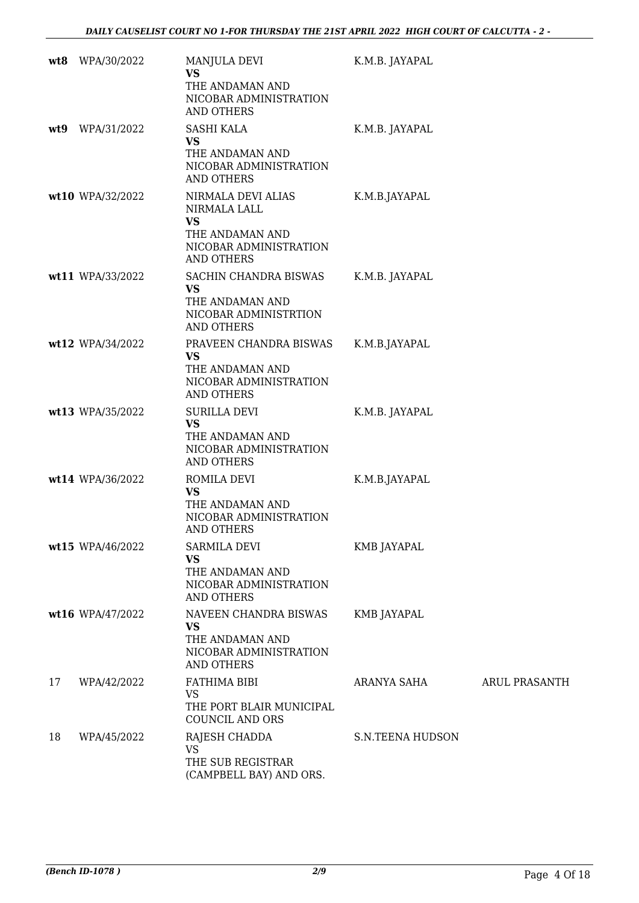|     | wt8 WPA/30/2022  | MANJULA DEVI<br><b>VS</b><br>THE ANDAMAN AND<br>NICOBAR ADMINISTRATION<br><b>AND OTHERS</b>                       | K.M.B. JAYAPAL          |               |
|-----|------------------|-------------------------------------------------------------------------------------------------------------------|-------------------------|---------------|
| wt9 | WPA/31/2022      | <b>SASHI KALA</b><br>VS<br>THE ANDAMAN AND<br>NICOBAR ADMINISTRATION<br><b>AND OTHERS</b>                         | K.M.B. JAYAPAL          |               |
|     | wt10 WPA/32/2022 | NIRMALA DEVI ALIAS<br>NIRMALA LALL<br><b>VS</b><br>THE ANDAMAN AND<br>NICOBAR ADMINISTRATION<br><b>AND OTHERS</b> | K.M.B.JAYAPAL           |               |
|     | wt11 WPA/33/2022 | SACHIN CHANDRA BISWAS<br>VS<br>THE ANDAMAN AND<br>NICOBAR ADMINISTRTION<br><b>AND OTHERS</b>                      | K.M.B. JAYAPAL          |               |
|     | wt12 WPA/34/2022 | PRAVEEN CHANDRA BISWAS<br>VS<br>THE ANDAMAN AND<br>NICOBAR ADMINISTRATION<br><b>AND OTHERS</b>                    | K.M.B.JAYAPAL           |               |
|     | wt13 WPA/35/2022 | <b>SURILLA DEVI</b><br><b>VS</b><br>THE ANDAMAN AND<br>NICOBAR ADMINISTRATION<br><b>AND OTHERS</b>                | K.M.B. JAYAPAL          |               |
|     | wt14 WPA/36/2022 | ROMILA DEVI<br><b>VS</b><br>THE ANDAMAN AND<br>NICOBAR ADMINISTRATION<br>AND OTHERS                               | K.M.B.JAYAPAL           |               |
|     | wt15 WPA/46/2022 | <b>SARMILA DEVI</b><br>VS<br>THE ANDAMAN AND<br>NICOBAR ADMINISTRATION<br><b>AND OTHERS</b>                       | KMB JAYAPAL             |               |
|     | wt16 WPA/47/2022 | NAVEEN CHANDRA BISWAS<br><b>VS</b><br>THE ANDAMAN AND<br>NICOBAR ADMINISTRATION<br>AND OTHERS                     | KMB JAYAPAL             |               |
| 17  | WPA/42/2022      | FATHIMA BIBI<br><b>VS</b><br>THE PORT BLAIR MUNICIPAL<br><b>COUNCIL AND ORS</b>                                   | ARANYA SAHA             | ARUL PRASANTH |
| 18  | WPA/45/2022      | RAJESH CHADDA<br><b>VS</b><br>THE SUB REGISTRAR<br>(CAMPBELL BAY) AND ORS.                                        | <b>S.N.TEENA HUDSON</b> |               |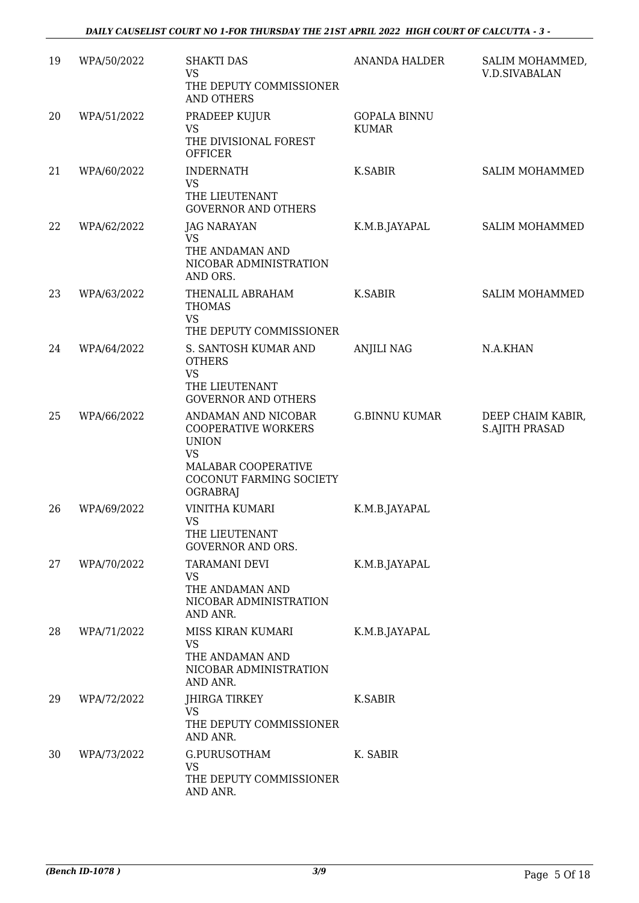| 19 | WPA/50/2022 | <b>SHAKTI DAS</b><br><b>VS</b><br>THE DEPUTY COMMISSIONER<br>AND OTHERS                                                                             | <b>ANANDA HALDER</b>                | SALIM MOHAMMED,<br><b>V.D.SIVABALAN</b>    |
|----|-------------|-----------------------------------------------------------------------------------------------------------------------------------------------------|-------------------------------------|--------------------------------------------|
| 20 | WPA/51/2022 | PRADEEP KUJUR<br><b>VS</b><br>THE DIVISIONAL FOREST<br><b>OFFICER</b>                                                                               | <b>GOPALA BINNU</b><br><b>KUMAR</b> |                                            |
| 21 | WPA/60/2022 | <b>INDERNATH</b><br><b>VS</b><br>THE LIEUTENANT<br><b>GOVERNOR AND OTHERS</b>                                                                       | K.SABIR                             | <b>SALIM MOHAMMED</b>                      |
| 22 | WPA/62/2022 | <b>JAG NARAYAN</b><br><b>VS</b><br>THE ANDAMAN AND<br>NICOBAR ADMINISTRATION<br>AND ORS.                                                            | K.M.B.JAYAPAL                       | SALIM MOHAMMED                             |
| 23 | WPA/63/2022 | THENALIL ABRAHAM<br><b>THOMAS</b><br><b>VS</b><br>THE DEPUTY COMMISSIONER                                                                           | <b>K.SABIR</b>                      | <b>SALIM MOHAMMED</b>                      |
| 24 | WPA/64/2022 | S. SANTOSH KUMAR AND<br><b>OTHERS</b><br><b>VS</b><br>THE LIEUTENANT<br><b>GOVERNOR AND OTHERS</b>                                                  | <b>ANJILI NAG</b>                   | N.A.KHAN                                   |
| 25 | WPA/66/2022 | ANDAMAN AND NICOBAR<br><b>COOPERATIVE WORKERS</b><br><b>UNION</b><br><b>VS</b><br>MALABAR COOPERATIVE<br>COCONUT FARMING SOCIETY<br><b>OGRABRAJ</b> | <b>G.BINNU KUMAR</b>                | DEEP CHAIM KABIR,<br><b>S.AJITH PRASAD</b> |
| 26 | WPA/69/2022 | <b>VINITHA KUMARI</b><br><b>VS</b><br>THE LIEUTENANT<br><b>GOVERNOR AND ORS.</b>                                                                    | K.M.B.JAYAPAL                       |                                            |
| 27 | WPA/70/2022 | TARAMANI DEVI<br><b>VS</b><br>THE ANDAMAN AND<br>NICOBAR ADMINISTRATION<br>AND ANR.                                                                 | K.M.B.JAYAPAL                       |                                            |
| 28 | WPA/71/2022 | MISS KIRAN KUMARI<br><b>VS</b><br>THE ANDAMAN AND<br>NICOBAR ADMINISTRATION<br>AND ANR.                                                             | K.M.B.JAYAPAL                       |                                            |
| 29 | WPA/72/2022 | JHIRGA TIRKEY<br>VS<br>THE DEPUTY COMMISSIONER<br>AND ANR.                                                                                          | <b>K.SABIR</b>                      |                                            |
| 30 | WPA/73/2022 | G.PURUSOTHAM<br><b>VS</b><br>THE DEPUTY COMMISSIONER<br>AND ANR.                                                                                    | K. SABIR                            |                                            |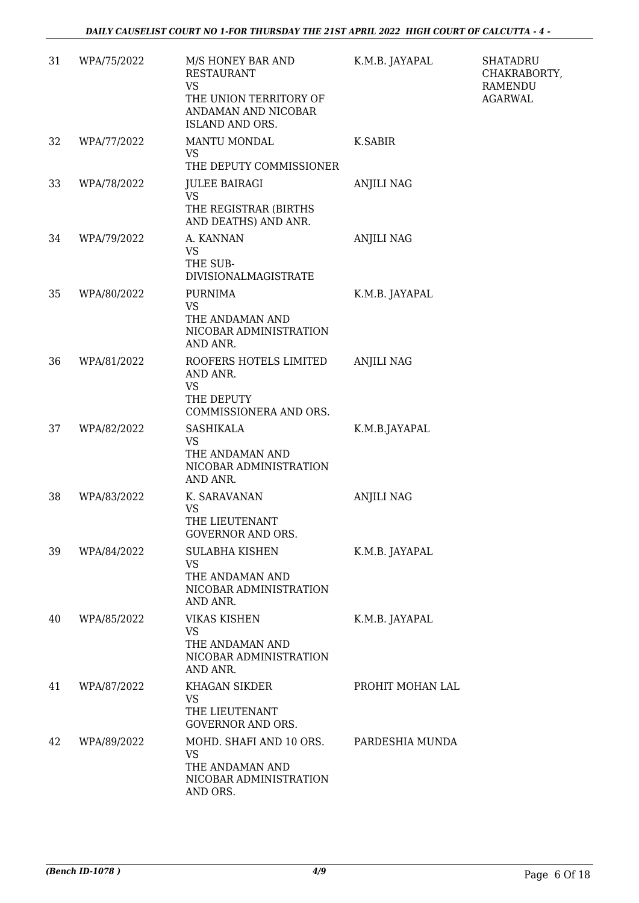| 31 | WPA/75/2022 | M/S HONEY BAR AND<br>RESTAURANT<br>VS<br>THE UNION TERRITORY OF<br>ANDAMAN AND NICOBAR<br><b>ISLAND AND ORS.</b> | K.M.B. JAYAPAL    | <b>SHATADRU</b><br>CHAKRABORTY,<br>RAMENDU<br><b>AGARWAL</b> |
|----|-------------|------------------------------------------------------------------------------------------------------------------|-------------------|--------------------------------------------------------------|
| 32 | WPA/77/2022 | MANTU MONDAL<br><b>VS</b><br>THE DEPUTY COMMISSIONER                                                             | K.SABIR           |                                                              |
| 33 | WPA/78/2022 | <b>JULEE BAIRAGI</b><br>VS<br>THE REGISTRAR (BIRTHS<br>AND DEATHS) AND ANR.                                      | <b>ANJILI NAG</b> |                                                              |
| 34 | WPA/79/2022 | A. KANNAN<br><b>VS</b><br>THE SUB-<br>DIVISIONALMAGISTRATE                                                       | <b>ANJILI NAG</b> |                                                              |
| 35 | WPA/80/2022 | <b>PURNIMA</b><br><b>VS</b><br>THE ANDAMAN AND<br>NICOBAR ADMINISTRATION<br>AND ANR.                             | K.M.B. JAYAPAL    |                                                              |
| 36 | WPA/81/2022 | ROOFERS HOTELS LIMITED<br>AND ANR.<br><b>VS</b><br>THE DEPUTY<br>COMMISSIONERA AND ORS.                          | <b>ANJILI NAG</b> |                                                              |
| 37 | WPA/82/2022 | <b>SASHIKALA</b><br><b>VS</b><br>THE ANDAMAN AND<br>NICOBAR ADMINISTRATION<br>AND ANR.                           | K.M.B.JAYAPAL     |                                                              |
| 38 | WPA/83/2022 | K. SARAVANAN<br><b>VS</b><br>THE LIEUTENANT<br>GOVERNOR AND ORS.                                                 | <b>ANJILI NAG</b> |                                                              |
| 39 | WPA/84/2022 | SULABHA KISHEN<br><b>VS</b><br>THE ANDAMAN AND<br>NICOBAR ADMINISTRATION<br>AND ANR.                             | K.M.B. JAYAPAL    |                                                              |
| 40 | WPA/85/2022 | <b>VIKAS KISHEN</b><br><b>VS</b><br>THE ANDAMAN AND<br>NICOBAR ADMINISTRATION<br>AND ANR.                        | K.M.B. JAYAPAL    |                                                              |
| 41 | WPA/87/2022 | <b>KHAGAN SIKDER</b><br>VS<br>THE LIEUTENANT<br><b>GOVERNOR AND ORS.</b>                                         | PROHIT MOHAN LAL  |                                                              |
| 42 | WPA/89/2022 | MOHD. SHAFI AND 10 ORS.<br><b>VS</b><br>THE ANDAMAN AND<br>NICOBAR ADMINISTRATION<br>AND ORS.                    | PARDESHIA MUNDA   |                                                              |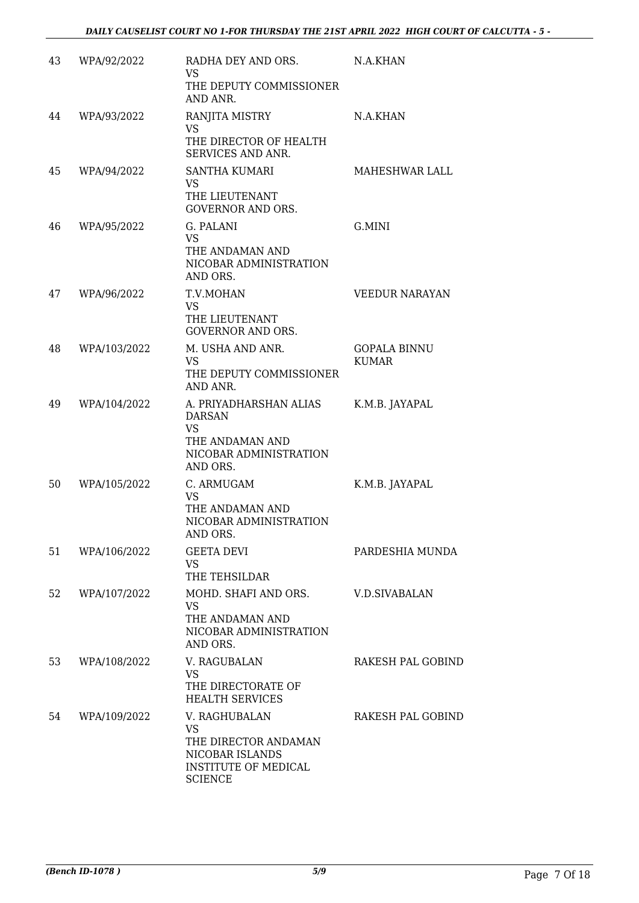| 43 | WPA/92/2022  | RADHA DEY AND ORS.<br>VS<br>THE DEPUTY COMMISSIONER<br>AND ANR.                                                        | N.A.KHAN                            |
|----|--------------|------------------------------------------------------------------------------------------------------------------------|-------------------------------------|
| 44 | WPA/93/2022  | RANJITA MISTRY<br><b>VS</b><br>THE DIRECTOR OF HEALTH<br>SERVICES AND ANR.                                             | N.A.KHAN                            |
| 45 | WPA/94/2022  | <b>SANTHA KUMARI</b><br><b>VS</b><br>THE LIEUTENANT<br><b>GOVERNOR AND ORS.</b>                                        | MAHESHWAR LALL                      |
| 46 | WPA/95/2022  | G. PALANI<br><b>VS</b><br>THE ANDAMAN AND<br>NICOBAR ADMINISTRATION<br>AND ORS.                                        | G.MINI                              |
| 47 | WPA/96/2022  | T.V.MOHAN<br>VS<br>THE LIEUTENANT<br><b>GOVERNOR AND ORS.</b>                                                          | <b>VEEDUR NARAYAN</b>               |
| 48 | WPA/103/2022 | M. USHA AND ANR.<br><b>VS</b><br>THE DEPUTY COMMISSIONER<br>AND ANR.                                                   | <b>GOPALA BINNU</b><br><b>KUMAR</b> |
| 49 | WPA/104/2022 | A. PRIYADHARSHAN ALIAS<br><b>DARSAN</b><br>VS<br>THE ANDAMAN AND<br>NICOBAR ADMINISTRATION<br>AND ORS.                 | K.M.B. JAYAPAL                      |
| 50 | WPA/105/2022 | C. ARMUGAM<br><b>VS</b><br>THE ANDAMAN AND<br>NICOBAR ADMINISTRATION<br>AND ORS.                                       | K.M.B. JAYAPAL                      |
| 51 | WPA/106/2022 | <b>GEETA DEVI</b><br><b>VS</b><br>THE TEHSILDAR                                                                        | PARDESHIA MUNDA                     |
| 52 | WPA/107/2022 | MOHD. SHAFI AND ORS.<br><b>VS</b><br>THE ANDAMAN AND<br>NICOBAR ADMINISTRATION<br>AND ORS.                             | V.D.SIVABALAN                       |
| 53 | WPA/108/2022 | V. RAGUBALAN<br><b>VS</b><br>THE DIRECTORATE OF<br><b>HEALTH SERVICES</b>                                              | RAKESH PAL GOBIND                   |
| 54 | WPA/109/2022 | V. RAGHUBALAN<br><b>VS</b><br>THE DIRECTOR ANDAMAN<br>NICOBAR ISLANDS<br><b>INSTITUTE OF MEDICAL</b><br><b>SCIENCE</b> | RAKESH PAL GOBIND                   |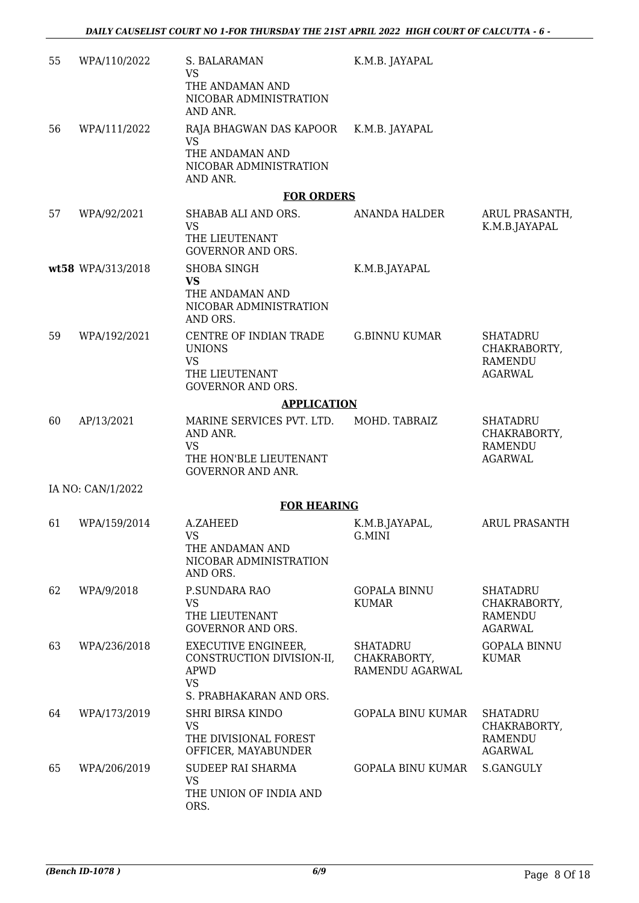| 55 | WPA/110/2022       | S. BALARAMAN<br><b>VS</b><br>THE ANDAMAN AND<br>NICOBAR ADMINISTRATION                                         | K.M.B. JAYAPAL                                     |                                                   |  |  |
|----|--------------------|----------------------------------------------------------------------------------------------------------------|----------------------------------------------------|---------------------------------------------------|--|--|
|    |                    | AND ANR.                                                                                                       |                                                    |                                                   |  |  |
| 56 | WPA/111/2022       | RAJA BHAGWAN DAS KAPOOR<br>VS                                                                                  | K.M.B. JAYAPAL                                     |                                                   |  |  |
|    |                    | THE ANDAMAN AND<br>NICOBAR ADMINISTRATION<br>AND ANR.                                                          |                                                    |                                                   |  |  |
|    |                    | <b>FOR ORDERS</b>                                                                                              |                                                    |                                                   |  |  |
| 57 | WPA/92/2021        | SHABAB ALI AND ORS.<br><b>VS</b><br>THE LIEUTENANT<br><b>GOVERNOR AND ORS.</b>                                 | <b>ANANDA HALDER</b>                               | ARUL PRASANTH,<br>K.M.B.JAYAPAL                   |  |  |
|    | wt58 WPA/313/2018  | <b>SHOBA SINGH</b>                                                                                             | K.M.B.JAYAPAL                                      |                                                   |  |  |
|    |                    | <b>VS</b><br>THE ANDAMAN AND<br>NICOBAR ADMINISTRATION<br>AND ORS.                                             |                                                    |                                                   |  |  |
| 59 | WPA/192/2021       | CENTRE OF INDIAN TRADE<br><b>UNIONS</b><br>VS                                                                  | <b>G.BINNU KUMAR</b>                               | <b>SHATADRU</b><br>CHAKRABORTY,<br><b>RAMENDU</b> |  |  |
|    |                    | THE LIEUTENANT<br><b>GOVERNOR AND ORS.</b>                                                                     |                                                    | AGARWAL                                           |  |  |
|    | <b>APPLICATION</b> |                                                                                                                |                                                    |                                                   |  |  |
| 60 | AP/13/2021         | MARINE SERVICES PVT. LTD.<br>AND ANR.<br><b>VS</b>                                                             | MOHD. TABRAIZ                                      | <b>SHATADRU</b><br>CHAKRABORTY,<br><b>RAMENDU</b> |  |  |
|    |                    | THE HON'BLE LIEUTENANT<br><b>GOVERNOR AND ANR.</b>                                                             |                                                    | <b>AGARWAL</b>                                    |  |  |
|    | IA NO: CAN/1/2022  |                                                                                                                |                                                    |                                                   |  |  |
|    |                    | <b>FOR HEARING</b>                                                                                             |                                                    |                                                   |  |  |
| 61 | WPA/159/2014       | A.ZAHEED<br><b>VS</b><br>THE ANDAMAN AND<br>NICOBAR ADMINISTRATION<br>AND ORS.                                 | K.M.B.JAYAPAL,<br>G.MINI                           | <b>ARUL PRASANTH</b>                              |  |  |
| 62 | WPA/9/2018         | P.SUNDARA RAO                                                                                                  | <b>GOPALA BINNU</b>                                | <b>SHATADRU</b>                                   |  |  |
|    |                    | <b>VS</b><br>THE LIEUTENANT<br><b>GOVERNOR AND ORS.</b>                                                        | <b>KUMAR</b>                                       | CHAKRABORTY,<br><b>RAMENDU</b><br><b>AGARWAL</b>  |  |  |
| 63 | WPA/236/2018       | <b>EXECUTIVE ENGINEER,</b><br>CONSTRUCTION DIVISION-II,<br><b>APWD</b><br><b>VS</b><br>S. PRABHAKARAN AND ORS. | <b>SHATADRU</b><br>CHAKRABORTY,<br>RAMENDU AGARWAL | <b>GOPALA BINNU</b><br>KUMAR                      |  |  |
| 64 | WPA/173/2019       | <b>SHRI BIRSA KINDO</b><br><b>VS</b><br>THE DIVISIONAL FOREST                                                  | <b>GOPALA BINU KUMAR</b>                           | <b>SHATADRU</b><br>CHAKRABORTY,<br>RAMENDU        |  |  |
| 65 | WPA/206/2019       | OFFICER, MAYABUNDER<br><b>SUDEEP RAI SHARMA</b><br><b>VS</b><br>THE UNION OF INDIA AND<br>ORS.                 | GOPALA BINU KUMAR                                  | <b>AGARWAL</b><br>S.GANGULY                       |  |  |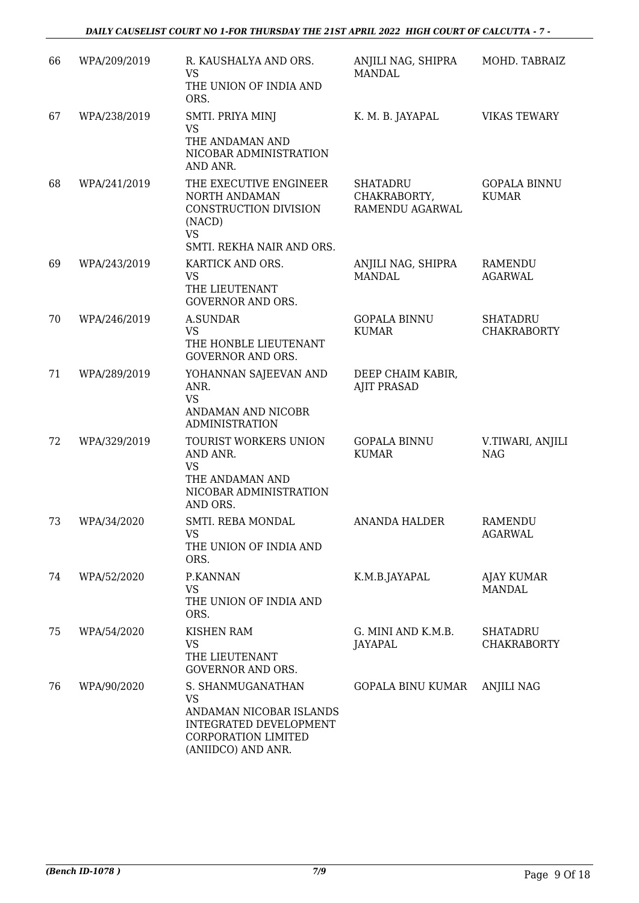| 66 | WPA/209/2019 | R. KAUSHALYA AND ORS.<br><b>VS</b><br>THE UNION OF INDIA AND<br>ORS.                                                             | ANJILI NAG, SHIPRA<br>MANDAL                | MOHD. TABRAIZ                         |
|----|--------------|----------------------------------------------------------------------------------------------------------------------------------|---------------------------------------------|---------------------------------------|
| 67 | WPA/238/2019 | SMTI. PRIYA MINJ<br><b>VS</b><br>THE ANDAMAN AND<br>NICOBAR ADMINISTRATION<br>AND ANR.                                           | K. M. B. JAYAPAL                            | <b>VIKAS TEWARY</b>                   |
| 68 | WPA/241/2019 | THE EXECUTIVE ENGINEER<br>NORTH ANDAMAN<br>CONSTRUCTION DIVISION<br>(NACD)<br><b>VS</b><br>SMTI. REKHA NAIR AND ORS.             | SHATADRU<br>CHAKRABORTY,<br>RAMENDU AGARWAL | <b>GOPALA BINNU</b><br><b>KUMAR</b>   |
| 69 | WPA/243/2019 | KARTICK AND ORS.<br><b>VS</b><br>THE LIEUTENANT<br><b>GOVERNOR AND ORS.</b>                                                      | ANJILI NAG, SHIPRA<br>MANDAL                | RAMENDU<br><b>AGARWAL</b>             |
| 70 | WPA/246/2019 | <b>A.SUNDAR</b><br><b>VS</b><br>THE HONBLE LIEUTENANT<br><b>GOVERNOR AND ORS.</b>                                                | <b>GOPALA BINNU</b><br><b>KUMAR</b>         | <b>SHATADRU</b><br><b>CHAKRABORTY</b> |
| 71 | WPA/289/2019 | YOHANNAN SAJEEVAN AND<br>ANR.<br><b>VS</b><br>ANDAMAN AND NICOBR<br><b>ADMINISTRATION</b>                                        | DEEP CHAIM KABIR,<br><b>AJIT PRASAD</b>     |                                       |
| 72 | WPA/329/2019 | TOURIST WORKERS UNION<br>AND ANR.<br><b>VS</b><br>THE ANDAMAN AND<br>NICOBAR ADMINISTRATION<br>AND ORS.                          | <b>GOPALA BINNU</b><br><b>KUMAR</b>         | V.TIWARI, ANJILI<br><b>NAG</b>        |
| 73 | WPA/34/2020  | SMTI. REBA MONDAL<br><b>VS</b><br>THE UNION OF INDIA AND<br>ORS.                                                                 | <b>ANANDA HALDER</b>                        | <b>RAMENDU</b><br><b>AGARWAL</b>      |
| 74 | WPA/52/2020  | P.KANNAN<br><b>VS</b><br>THE UNION OF INDIA AND<br>ORS.                                                                          | K.M.B.JAYAPAL                               | AJAY KUMAR<br><b>MANDAL</b>           |
| 75 | WPA/54/2020  | <b>KISHEN RAM</b><br><b>VS</b><br>THE LIEUTENANT<br><b>GOVERNOR AND ORS.</b>                                                     | G. MINI AND K.M.B.<br>JAYAPAL               | SHATADRU<br><b>CHAKRABORTY</b>        |
| 76 | WPA/90/2020  | S. SHANMUGANATHAN<br>VS<br>ANDAMAN NICOBAR ISLANDS<br>INTEGRATED DEVELOPMENT<br><b>CORPORATION LIMITED</b><br>(ANIIDCO) AND ANR. | GOPALA BINU KUMAR                           | ANJILI NAG                            |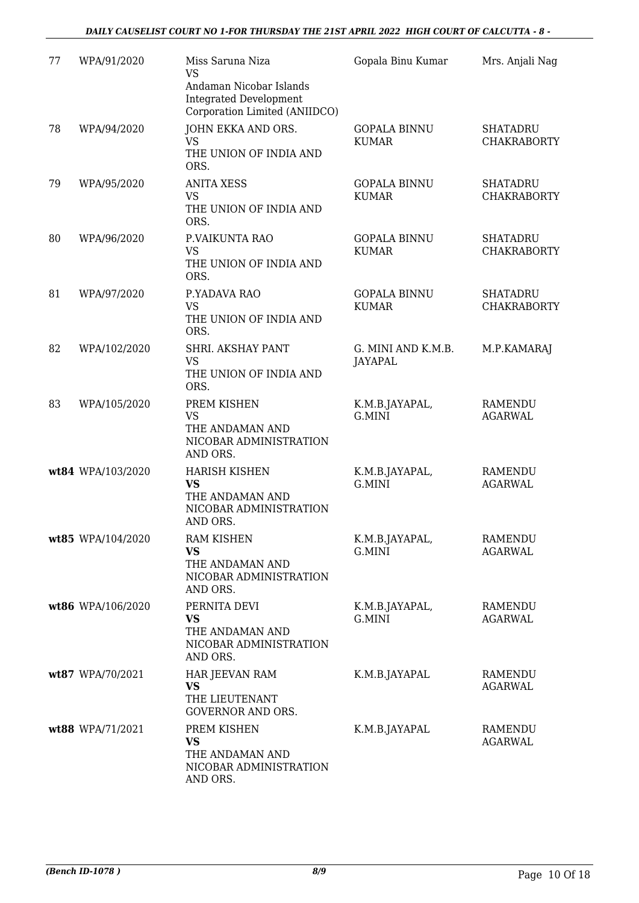| 77 | WPA/91/2020       | Miss Saruna Niza<br><b>VS</b><br>Andaman Nicobar Islands<br><b>Integrated Development</b><br>Corporation Limited (ANIIDCO) | Gopala Binu Kumar                    | Mrs. Anjali Nag                       |
|----|-------------------|----------------------------------------------------------------------------------------------------------------------------|--------------------------------------|---------------------------------------|
| 78 | WPA/94/2020       | JOHN EKKA AND ORS.<br><b>VS</b><br>THE UNION OF INDIA AND<br>ORS.                                                          | <b>GOPALA BINNU</b><br><b>KUMAR</b>  | <b>SHATADRU</b><br><b>CHAKRABORTY</b> |
| 79 | WPA/95/2020       | <b>ANITA XESS</b><br><b>VS</b><br>THE UNION OF INDIA AND<br>ORS.                                                           | <b>GOPALA BINNU</b><br><b>KUMAR</b>  | <b>SHATADRU</b><br><b>CHAKRABORTY</b> |
| 80 | WPA/96/2020       | P.VAIKUNTA RAO<br><b>VS</b><br>THE UNION OF INDIA AND<br>ORS.                                                              | <b>GOPALA BINNU</b><br><b>KUMAR</b>  | <b>SHATADRU</b><br><b>CHAKRABORTY</b> |
| 81 | WPA/97/2020       | P.YADAVA RAO<br><b>VS</b><br>THE UNION OF INDIA AND<br>ORS.                                                                | <b>GOPALA BINNU</b><br><b>KUMAR</b>  | <b>SHATADRU</b><br><b>CHAKRABORTY</b> |
| 82 | WPA/102/2020      | SHRI. AKSHAY PANT<br><b>VS</b><br>THE UNION OF INDIA AND<br>ORS.                                                           | G. MINI AND K.M.B.<br><b>JAYAPAL</b> | M.P.KAMARAJ                           |
| 83 | WPA/105/2020      | PREM KISHEN<br><b>VS</b><br>THE ANDAMAN AND<br>NICOBAR ADMINISTRATION<br>AND ORS.                                          | K.M.B.JAYAPAL,<br>G.MINI             | <b>RAMENDU</b><br><b>AGARWAL</b>      |
|    | wt84 WPA/103/2020 | <b>HARISH KISHEN</b><br><b>VS</b><br>THE ANDAMAN AND<br>NICOBAR ADMINISTRATION<br>AND ORS.                                 | K.M.B.JAYAPAL,<br>G.MINI             | <b>RAMENDU</b><br><b>AGARWAL</b>      |
|    | wt85 WPA/104/2020 | <b>RAM KISHEN</b><br><b>VS</b><br>THE ANDAMAN AND<br>NICOBAR ADMINISTRATION<br>AND ORS.                                    | K.M.B.JAYAPAL,<br>G.MINI             | <b>RAMENDU</b><br><b>AGARWAL</b>      |
|    | wt86 WPA/106/2020 | PERNITA DEVI<br><b>VS</b><br>THE ANDAMAN AND<br>NICOBAR ADMINISTRATION<br>AND ORS.                                         | K.M.B.JAYAPAL,<br>G.MINI             | RAMENDU<br>AGARWAL                    |
|    | wt87 WPA/70/2021  | HAR JEEVAN RAM<br><b>VS</b><br>THE LIEUTENANT<br><b>GOVERNOR AND ORS.</b>                                                  | K.M.B.JAYAPAL                        | RAMENDU<br><b>AGARWAL</b>             |
|    | wt88 WPA/71/2021  | PREM KISHEN<br>VS<br>THE ANDAMAN AND<br>NICOBAR ADMINISTRATION<br>AND ORS.                                                 | K.M.B.JAYAPAL                        | RAMENDU<br><b>AGARWAL</b>             |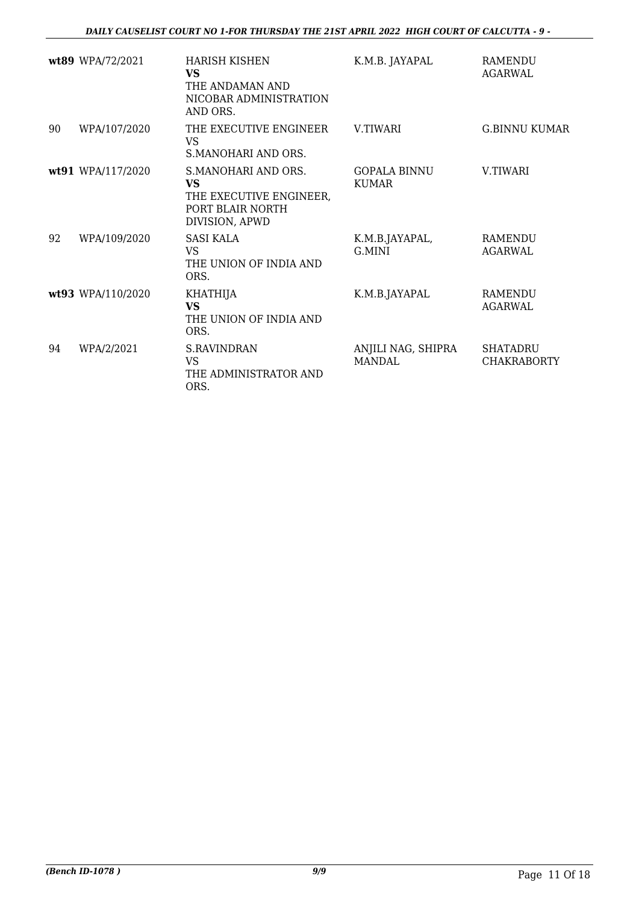|    | wt89 WPA/72/2021  | <b>HARISH KISHEN</b><br>VS<br>THE ANDAMAN AND<br>NICOBAR ADMINISTRATION<br>AND ORS.        | K.M.B. JAYAPAL                      | <b>RAMENDU</b><br><b>AGARWAL</b>      |
|----|-------------------|--------------------------------------------------------------------------------------------|-------------------------------------|---------------------------------------|
| 90 | WPA/107/2020      | THE EXECUTIVE ENGINEER<br>VS<br>S.MANOHARI AND ORS.                                        | <b>V.TIWARI</b>                     | <b>G.BINNU KUMAR</b>                  |
|    | wt91 WPA/117/2020 | S.MANOHARI AND ORS.<br>VS<br>THE EXECUTIVE ENGINEER,<br>PORT BLAIR NORTH<br>DIVISION, APWD | <b>GOPALA BINNU</b><br><b>KUMAR</b> | <b>V.TIWARI</b>                       |
| 92 | WPA/109/2020      | <b>SASI KALA</b><br><b>VS</b><br>THE UNION OF INDIA AND<br>ORS.                            | K.M.B.JAYAPAL,<br>G.MINI            | <b>RAMENDU</b><br><b>AGARWAL</b>      |
|    | wt93 WPA/110/2020 | <b>KHATHIJA</b><br><b>VS</b><br>THE UNION OF INDIA AND<br>ORS.                             | K.M.B.JAYAPAL                       | <b>RAMENDU</b><br><b>AGARWAL</b>      |
| 94 | WPA/2/2021        | <b>S.RAVINDRAN</b><br><b>VS</b><br>THE ADMINISTRATOR AND<br>ORS.                           | ANJILI NAG, SHIPRA<br><b>MANDAL</b> | <b>SHATADRU</b><br><b>CHAKRABORTY</b> |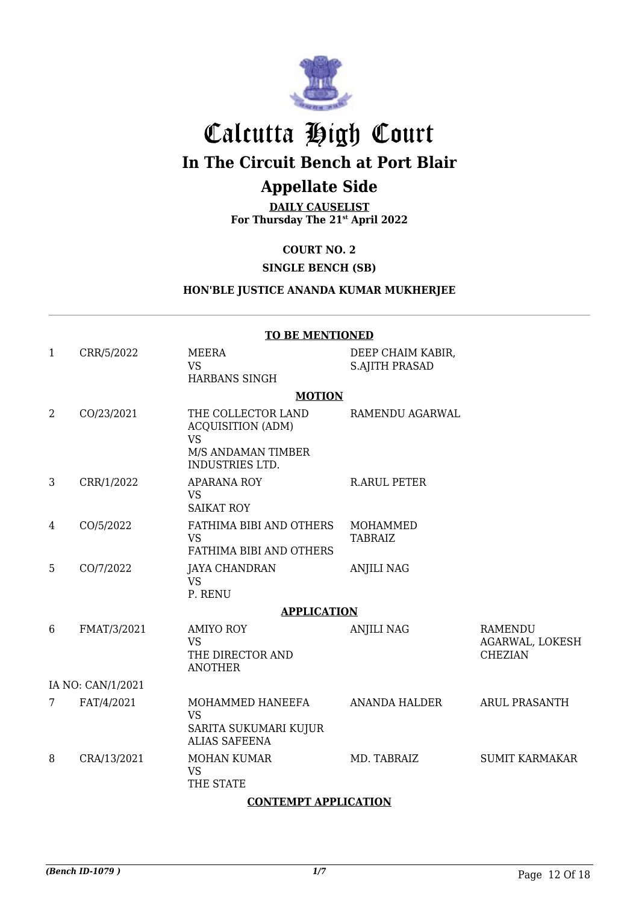

# Calcutta High Court

## **In The Circuit Bench at Port Blair**

### **Appellate Side**

**DAILY CAUSELIST For Thursday The 21st April 2022**

#### **COURT NO. 2**

#### **SINGLE BENCH (SB)**

#### **HON'BLE JUSTICE ANANDA KUMAR MUKHERJEE**

| <b>TO BE MENTIONED</b> |             |                                                                                                             |                                            |                                                     |
|------------------------|-------------|-------------------------------------------------------------------------------------------------------------|--------------------------------------------|-----------------------------------------------------|
| 1                      | CRR/5/2022  | <b>MEERA</b><br><b>VS</b><br><b>HARBANS SINGH</b>                                                           | DEEP CHAIM KABIR,<br><b>S.AJITH PRASAD</b> |                                                     |
|                        |             | <b>MOTION</b>                                                                                               |                                            |                                                     |
| 2                      | CO/23/2021  | THE COLLECTOR LAND<br><b>ACQUISITION (ADM)</b><br><b>VS</b><br>M/S ANDAMAN TIMBER<br><b>INDUSTRIES LTD.</b> | RAMENDU AGARWAL                            |                                                     |
| 3                      | CRR/1/2022  | <b>APARANA ROY</b><br><b>VS</b><br><b>SAIKAT ROY</b>                                                        | <b>R.ARUL PETER</b>                        |                                                     |
| 4                      | CO/5/2022   | FATHIMA BIBI AND OTHERS<br><b>VS</b><br>FATHIMA BIBI AND OTHERS                                             | <b>MOHAMMED</b><br><b>TABRAIZ</b>          |                                                     |
| 5                      | CO/7/2022   | <b>JAYA CHANDRAN</b><br><b>VS</b><br>P. RENU                                                                | <b>ANJILI NAG</b>                          |                                                     |
|                        |             | <b>APPLICATION</b>                                                                                          |                                            |                                                     |
| 6                      | FMAT/3/2021 | <b>AMIYO ROY</b><br><b>VS</b><br>THE DIRECTOR AND<br><b>ANOTHER</b>                                         | <b>ANJILI NAG</b>                          | <b>RAMENDU</b><br>AGARWAL, LOKESH<br><b>CHEZIAN</b> |
| IA NO: CAN/1/2021      |             |                                                                                                             |                                            |                                                     |
| 7                      | FAT/4/2021  | MOHAMMED HANEEFA<br><b>VS</b><br>SARITA SUKUMARI KUJUR<br><b>ALIAS SAFEENA</b>                              | ANANDA HALDER                              | <b>ARUL PRASANTH</b>                                |
| 8                      | CRA/13/2021 | <b>MOHAN KUMAR</b><br><b>VS</b><br>THE STATE                                                                | MD. TABRAIZ                                | <b>SUMIT KARMAKAR</b>                               |

#### **CONTEMPT APPLICATION**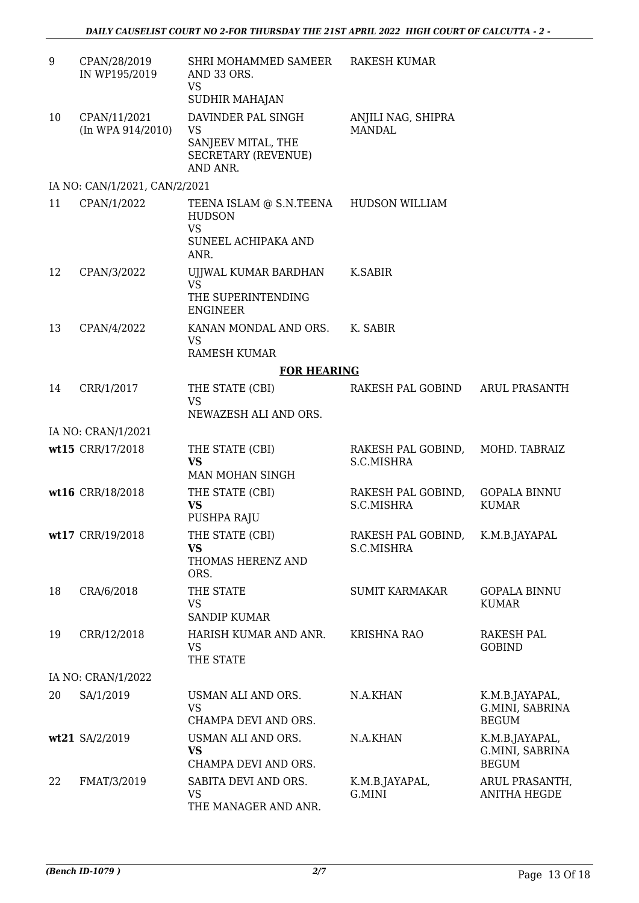| 9  | CPAN/28/2019<br>IN WP195/2019         | SHRI MOHAMMED SAMEER<br>AND 33 ORS.<br><b>VS</b><br>SUDHIR MAHAJAN                                  | <b>RAKESH KUMAR</b>                 |                                                   |
|----|---------------------------------------|-----------------------------------------------------------------------------------------------------|-------------------------------------|---------------------------------------------------|
| 10 | CPAN/11/2021<br>$(In$ WPA $914/2010)$ | DAVINDER PAL SINGH<br><b>VS</b><br>SANJEEV MITAL, THE<br><b>SECRETARY (REVENUE)</b>                 | ANJILI NAG, SHIPRA<br><b>MANDAL</b> |                                                   |
|    |                                       | AND ANR.                                                                                            |                                     |                                                   |
|    | IA NO: CAN/1/2021, CAN/2/2021         |                                                                                                     |                                     |                                                   |
| 11 | CPAN/1/2022                           | TEENA ISLAM @ S.N.TEENA HUDSON WILLIAM<br><b>HUDSON</b><br><b>VS</b><br>SUNEEL ACHIPAKA AND<br>ANR. |                                     |                                                   |
| 12 | CPAN/3/2022                           | UJJWAL KUMAR BARDHAN<br><b>VS</b>                                                                   | <b>K.SABIR</b>                      |                                                   |
|    |                                       | THE SUPERINTENDING<br><b>ENGINEER</b>                                                               |                                     |                                                   |
| 13 | CPAN/4/2022                           | KANAN MONDAL AND ORS.<br><b>VS</b><br><b>RAMESH KUMAR</b>                                           | K. SABIR                            |                                                   |
|    |                                       | <b>FOR HEARING</b>                                                                                  |                                     |                                                   |
| 14 | CRR/1/2017                            | THE STATE (CBI)                                                                                     | RAKESH PAL GOBIND                   | <b>ARUL PRASANTH</b>                              |
|    |                                       | <b>VS</b><br>NEWAZESH ALI AND ORS.                                                                  |                                     |                                                   |
|    | IA NO: CRAN/1/2021                    |                                                                                                     |                                     |                                                   |
|    | wt15 CRR/17/2018                      | THE STATE (CBI)<br><b>VS</b>                                                                        | RAKESH PAL GOBIND,<br>S.C.MISHRA    | MOHD. TABRAIZ                                     |
|    |                                       | MAN MOHAN SINGH                                                                                     |                                     |                                                   |
|    | wt16 CRR/18/2018                      | THE STATE (CBI)<br><b>VS</b><br>PUSHPA RAJU                                                         | RAKESH PAL GOBIND,<br>S.C.MISHRA    | <b>GOPALA BINNU</b><br><b>KUMAR</b>               |
|    | wt17 CRR/19/2018                      | THE STATE (CBI)<br><b>VS</b><br>THOMAS HERENZ AND<br>ORS.                                           | RAKESH PAL GOBIND,<br>S.C.MISHRA    | K.M.B.JAYAPAL                                     |
| 18 | CRA/6/2018                            | THE STATE<br><b>VS</b><br><b>SANDIP KUMAR</b>                                                       | <b>SUMIT KARMAKAR</b>               | <b>GOPALA BINNU</b><br><b>KUMAR</b>               |
| 19 | CRR/12/2018                           | HARISH KUMAR AND ANR.<br>VS<br>THE STATE                                                            | <b>KRISHNA RAO</b>                  | RAKESH PAL<br><b>GOBIND</b>                       |
|    | IA NO: CRAN/1/2022                    |                                                                                                     |                                     |                                                   |
| 20 | SA/1/2019                             | USMAN ALI AND ORS.<br><b>VS</b><br>CHAMPA DEVI AND ORS.                                             | N.A.KHAN                            | K.M.B.JAYAPAL,<br>G.MINI, SABRINA<br><b>BEGUM</b> |
|    | wt21 SA/2/2019                        | USMAN ALI AND ORS.<br><b>VS</b><br>CHAMPA DEVI AND ORS.                                             | N.A.KHAN                            | K.M.B.JAYAPAL,<br>G.MINI, SABRINA<br><b>BEGUM</b> |
| 22 | FMAT/3/2019                           | SABITA DEVI AND ORS.<br><b>VS</b><br>THE MANAGER AND ANR.                                           | K.M.B.JAYAPAL,<br>G.MINI            | ARUL PRASANTH,<br><b>ANITHA HEGDE</b>             |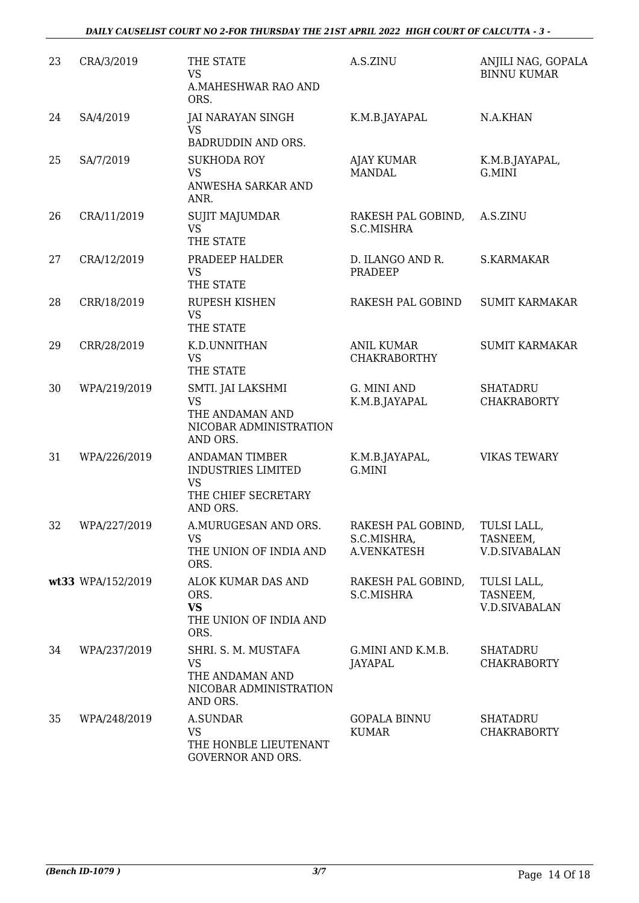| 23 | CRA/3/2019        | THE STATE<br><b>VS</b><br>A.MAHESHWAR RAO AND<br>ORS.                                       | A.S.ZINU                                         | ANJILI NAG, GOPALA<br><b>BINNU KUMAR</b>        |
|----|-------------------|---------------------------------------------------------------------------------------------|--------------------------------------------------|-------------------------------------------------|
| 24 | SA/4/2019         | <b>JAI NARAYAN SINGH</b><br><b>VS</b><br>BADRUDDIN AND ORS.                                 | K.M.B.JAYAPAL                                    | N.A.KHAN                                        |
| 25 | SA/7/2019         | <b>SUKHODA ROY</b><br><b>VS</b><br>ANWESHA SARKAR AND<br>ANR.                               | <b>AJAY KUMAR</b><br><b>MANDAL</b>               | K.M.B.JAYAPAL,<br>G.MINI                        |
| 26 | CRA/11/2019       | SUJIT MAJUMDAR<br><b>VS</b><br>THE STATE                                                    | RAKESH PAL GOBIND,<br>S.C.MISHRA                 | A.S.ZINU                                        |
| 27 | CRA/12/2019       | PRADEEP HALDER<br><b>VS</b><br>THE STATE                                                    | D. ILANGO AND R.<br>PRADEEP                      | S.KARMAKAR                                      |
| 28 | CRR/18/2019       | <b>RUPESH KISHEN</b><br><b>VS</b><br>THE STATE                                              | RAKESH PAL GOBIND                                | <b>SUMIT KARMAKAR</b>                           |
| 29 | CRR/28/2019       | K.D.UNNITHAN<br><b>VS</b><br>THE STATE                                                      | <b>ANIL KUMAR</b><br><b>CHAKRABORTHY</b>         | <b>SUMIT KARMAKAR</b>                           |
| 30 | WPA/219/2019      | SMTI. JAI LAKSHMI<br><b>VS</b><br>THE ANDAMAN AND<br>NICOBAR ADMINISTRATION<br>AND ORS.     | G. MINI AND<br>K.M.B.JAYAPAL                     | <b>SHATADRU</b><br><b>CHAKRABORTY</b>           |
| 31 | WPA/226/2019      | <b>ANDAMAN TIMBER</b><br><b>INDUSTRIES LIMITED</b><br>VS<br>THE CHIEF SECRETARY<br>AND ORS. | K.M.B.JAYAPAL,<br>G.MINI                         | <b>VIKAS TEWARY</b>                             |
| 32 | WPA/227/2019      | A.MURUGESAN AND ORS.<br><b>VS</b><br>THE UNION OF INDIA AND<br>ORS.                         | RAKESH PAL GOBIND,<br>S.C.MISHRA,<br>A.VENKATESH | TULSI LALL,<br>TASNEEM,<br><b>V.D.SIVABALAN</b> |
|    | wt33 WPA/152/2019 | ALOK KUMAR DAS AND<br>ORS.<br><b>VS</b><br>THE UNION OF INDIA AND<br>ORS.                   | RAKESH PAL GOBIND,<br>S.C.MISHRA                 | TULSI LALL,<br>TASNEEM,<br><b>V.D.SIVABALAN</b> |
| 34 | WPA/237/2019      | SHRI. S. M. MUSTAFA<br><b>VS</b><br>THE ANDAMAN AND<br>NICOBAR ADMINISTRATION<br>AND ORS.   | G.MINI AND K.M.B.<br><b>JAYAPAL</b>              | <b>SHATADRU</b><br><b>CHAKRABORTY</b>           |
| 35 | WPA/248/2019      | <b>A.SUNDAR</b><br><b>VS</b><br>THE HONBLE LIEUTENANT<br>GOVERNOR AND ORS.                  | <b>GOPALA BINNU</b><br><b>KUMAR</b>              | <b>SHATADRU</b><br><b>CHAKRABORTY</b>           |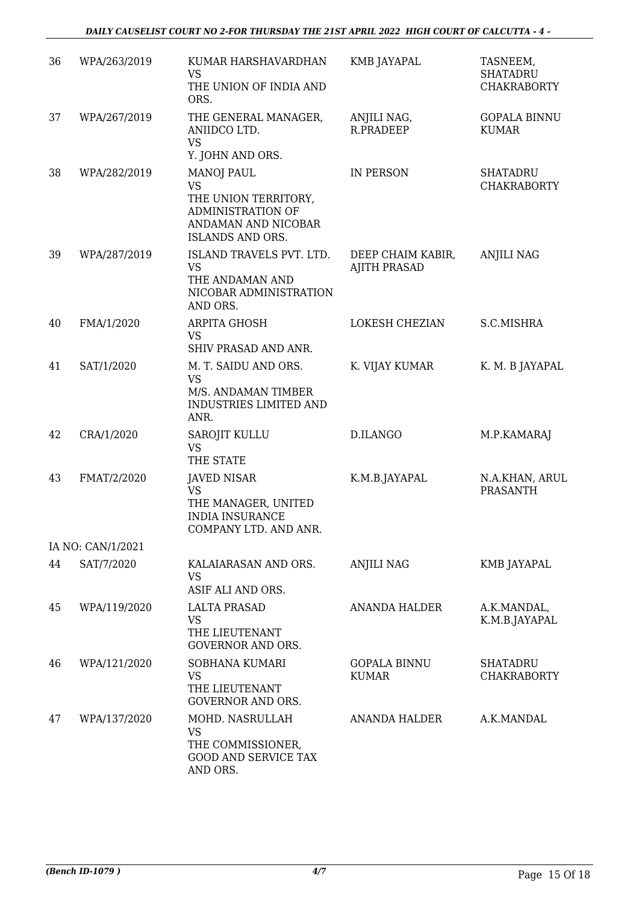| 36 | WPA/263/2019      | KUMAR HARSHAVARDHAN<br><b>VS</b><br>THE UNION OF INDIA AND<br>ORS.                                                            | KMB JAYAPAL                              | TASNEEM,<br><b>SHATADRU</b><br><b>CHAKRABORTY</b> |
|----|-------------------|-------------------------------------------------------------------------------------------------------------------------------|------------------------------------------|---------------------------------------------------|
| 37 | WPA/267/2019      | THE GENERAL MANAGER,<br>ANIIDCO LTD.<br><b>VS</b><br>Y. JOHN AND ORS.                                                         | ANJILI NAG,<br>R.PRADEEP                 | <b>GOPALA BINNU</b><br><b>KUMAR</b>               |
| 38 | WPA/282/2019      | <b>MANOJ PAUL</b><br><b>VS</b><br>THE UNION TERRITORY,<br>ADMINISTRATION OF<br>ANDAMAN AND NICOBAR<br><b>ISLANDS AND ORS.</b> | IN PERSON                                | <b>SHATADRU</b><br><b>CHAKRABORTY</b>             |
| 39 | WPA/287/2019      | ISLAND TRAVELS PVT. LTD.<br><b>VS</b><br>THE ANDAMAN AND<br>NICOBAR ADMINISTRATION<br>AND ORS.                                | DEEP CHAIM KABIR,<br><b>AJITH PRASAD</b> | <b>ANJILI NAG</b>                                 |
| 40 | FMA/1/2020        | <b>ARPITA GHOSH</b><br><b>VS</b><br>SHIV PRASAD AND ANR.                                                                      | LOKESH CHEZIAN                           | S.C.MISHRA                                        |
| 41 | SAT/1/2020        | M. T. SAIDU AND ORS.<br>VS<br>M/S. ANDAMAN TIMBER<br>INDUSTRIES LIMITED AND<br>ANR.                                           | K. VIJAY KUMAR                           | K. M. B JAYAPAL                                   |
| 42 | CRA/1/2020        | SAROJIT KULLU<br><b>VS</b><br>THE STATE                                                                                       | D.ILANGO                                 | M.P.KAMARAJ                                       |
| 43 | FMAT/2/2020       | <b>JAVED NISAR</b><br><b>VS</b><br>THE MANAGER, UNITED<br><b>INDIA INSURANCE</b><br>COMPANY LTD. AND ANR.                     | K.M.B.JAYAPAL                            | N.A.KHAN, ARUL<br><b>PRASANTH</b>                 |
|    | IA NO: CAN/1/2021 |                                                                                                                               |                                          |                                                   |
| 44 | SAT/7/2020        | KALAIARASAN AND ORS.<br><b>VS</b><br>ASIF ALI AND ORS.                                                                        | <b>ANJILI NAG</b>                        | KMB JAYAPAL                                       |
| 45 | WPA/119/2020      | <b>LALTA PRASAD</b><br><b>VS</b><br>THE LIEUTENANT<br><b>GOVERNOR AND ORS.</b>                                                | <b>ANANDA HALDER</b>                     | A.K.MANDAL,<br>K.M.B.JAYAPAL                      |
| 46 | WPA/121/2020      | <b>SOBHANA KUMARI</b><br><b>VS</b><br>THE LIEUTENANT<br><b>GOVERNOR AND ORS.</b>                                              | <b>GOPALA BINNU</b><br><b>KUMAR</b>      | <b>SHATADRU</b><br><b>CHAKRABORTY</b>             |
| 47 | WPA/137/2020      | MOHD. NASRULLAH<br><b>VS</b><br>THE COMMISSIONER,<br><b>GOOD AND SERVICE TAX</b><br>AND ORS.                                  | ANANDA HALDER                            | A.K.MANDAL                                        |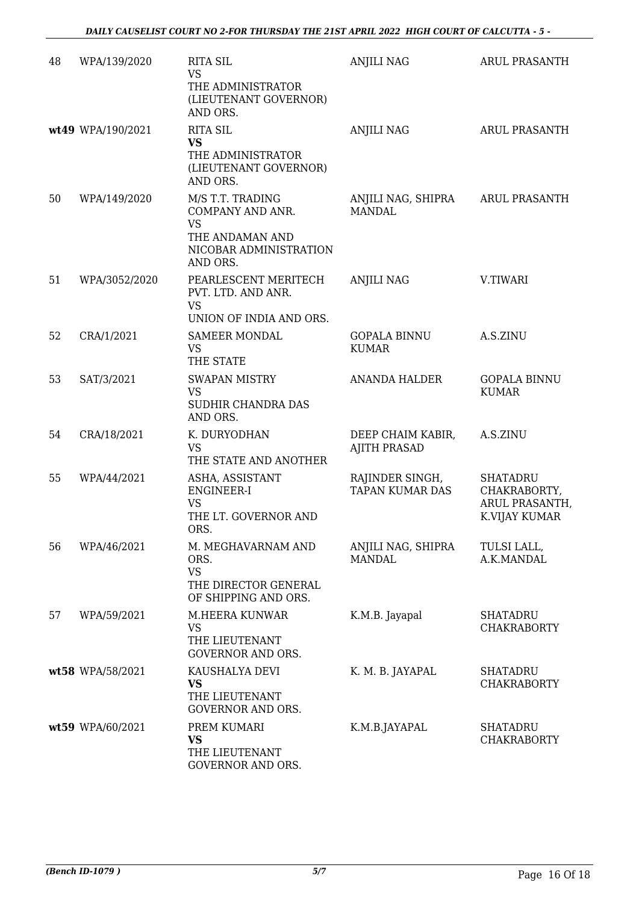| 48 | WPA/139/2020      | <b>RITA SIL</b><br><b>VS</b><br>THE ADMINISTRATOR<br>(LIEUTENANT GOVERNOR)<br>AND ORS.                     | <b>ANJILI NAG</b>                         | ARUL PRASANTH                                                      |
|----|-------------------|------------------------------------------------------------------------------------------------------------|-------------------------------------------|--------------------------------------------------------------------|
|    | wt49 WPA/190/2021 | <b>RITA SIL</b><br><b>VS</b><br>THE ADMINISTRATOR<br>(LIEUTENANT GOVERNOR)<br>AND ORS.                     | ANJILI NAG                                | ARUL PRASANTH                                                      |
| 50 | WPA/149/2020      | M/S T.T. TRADING<br>COMPANY AND ANR.<br><b>VS</b><br>THE ANDAMAN AND<br>NICOBAR ADMINISTRATION<br>AND ORS. | ANJILI NAG, SHIPRA<br><b>MANDAL</b>       | <b>ARUL PRASANTH</b>                                               |
| 51 | WPA/3052/2020     | PEARLESCENT MERITECH<br>PVT. LTD. AND ANR.<br><b>VS</b><br>UNION OF INDIA AND ORS.                         | <b>ANJILI NAG</b>                         | V.TIWARI                                                           |
| 52 | CRA/1/2021        | <b>SAMEER MONDAL</b><br><b>VS</b><br>THE STATE                                                             | <b>GOPALA BINNU</b><br><b>KUMAR</b>       | A.S.ZINU                                                           |
| 53 | SAT/3/2021        | <b>SWAPAN MISTRY</b><br><b>VS</b><br>SUDHIR CHANDRA DAS<br>AND ORS.                                        | <b>ANANDA HALDER</b>                      | <b>GOPALA BINNU</b><br><b>KUMAR</b>                                |
| 54 | CRA/18/2021       | K. DURYODHAN<br><b>VS</b><br>THE STATE AND ANOTHER                                                         | DEEP CHAIM KABIR,<br><b>AJITH PRASAD</b>  | A.S.ZINU                                                           |
| 55 | WPA/44/2021       | ASHA, ASSISTANT<br>ENGINEER-I<br><b>VS</b><br>THE LT. GOVERNOR AND<br>ORS.                                 | RAJINDER SINGH,<br><b>TAPAN KUMAR DAS</b> | <b>SHATADRU</b><br>CHAKRABORTY,<br>ARUL PRASANTH,<br>K.VIJAY KUMAR |
| 56 | WPA/46/2021       | M. MEGHAVARNAM AND<br>ORS.<br><b>VS</b><br>THE DIRECTOR GENERAL<br>OF SHIPPING AND ORS.                    | ANJILI NAG, SHIPRA<br><b>MANDAL</b>       | TULSI LALL,<br>A.K.MANDAL                                          |
| 57 | WPA/59/2021       | M.HEERA KUNWAR<br><b>VS</b><br>THE LIEUTENANT<br><b>GOVERNOR AND ORS.</b>                                  | K.M.B. Jayapal                            | <b>SHATADRU</b><br><b>CHAKRABORTY</b>                              |
|    | wt58 WPA/58/2021  | KAUSHALYA DEVI<br>VS<br>THE LIEUTENANT<br><b>GOVERNOR AND ORS.</b>                                         | K. M. B. JAYAPAL                          | <b>SHATADRU</b><br><b>CHAKRABORTY</b>                              |
|    | wt59 WPA/60/2021  | PREM KUMARI<br><b>VS</b><br>THE LIEUTENANT<br>GOVERNOR AND ORS.                                            | K.M.B.JAYAPAL                             | <b>SHATADRU</b><br><b>CHAKRABORTY</b>                              |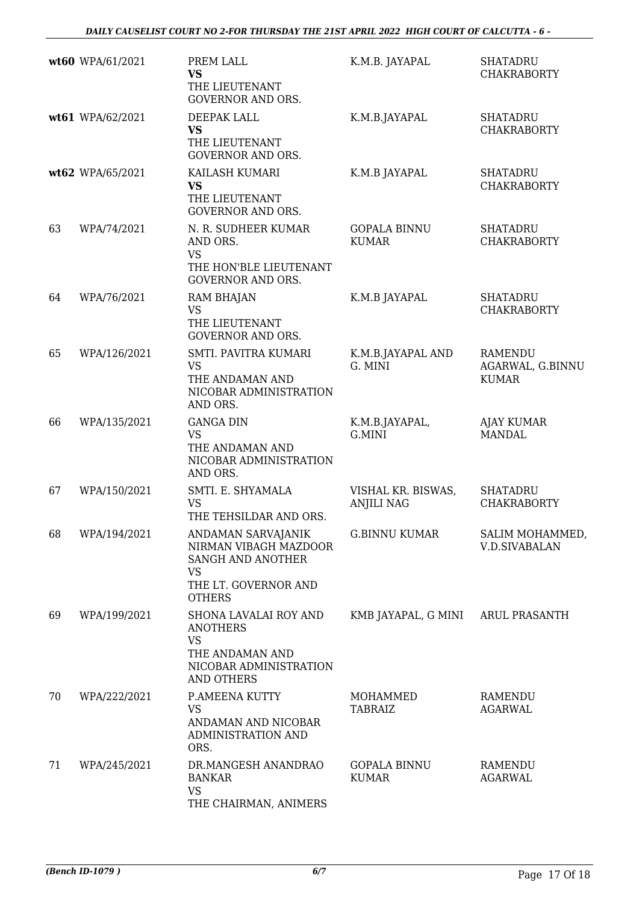|    | wt60 WPA/61/2021 | PREM LALL<br><b>VS</b><br>THE LIEUTENANT<br><b>GOVERNOR AND ORS.</b>                                                    | K.M.B. JAYAPAL                          | <b>SHATADRU</b><br><b>CHAKRABORTY</b>              |
|----|------------------|-------------------------------------------------------------------------------------------------------------------------|-----------------------------------------|----------------------------------------------------|
|    | wt61 WPA/62/2021 | DEEPAK LALL<br><b>VS</b><br>THE LIEUTENANT<br><b>GOVERNOR AND ORS.</b>                                                  | K.M.B.JAYAPAL                           | <b>SHATADRU</b><br><b>CHAKRABORTY</b>              |
|    | wt62 WPA/65/2021 | KAILASH KUMARI<br><b>VS</b><br>THE LIEUTENANT<br><b>GOVERNOR AND ORS.</b>                                               | K.M.B JAYAPAL                           | <b>SHATADRU</b><br><b>CHAKRABORTY</b>              |
| 63 | WPA/74/2021      | N. R. SUDHEER KUMAR<br>AND ORS.<br><b>VS</b><br>THE HON'BLE LIEUTENANT<br><b>GOVERNOR AND ORS.</b>                      | <b>GOPALA BINNU</b><br><b>KUMAR</b>     | <b>SHATADRU</b><br><b>CHAKRABORTY</b>              |
| 64 | WPA/76/2021      | <b>RAM BHAJAN</b><br>VS<br>THE LIEUTENANT<br><b>GOVERNOR AND ORS.</b>                                                   | K.M.B JAYAPAL                           | <b>SHATADRU</b><br><b>CHAKRABORTY</b>              |
| 65 | WPA/126/2021     | SMTI. PAVITRA KUMARI<br><b>VS</b><br>THE ANDAMAN AND<br>NICOBAR ADMINISTRATION<br>AND ORS.                              | K.M.B.JAYAPAL AND<br>G. MINI            | <b>RAMENDU</b><br>AGARWAL, G.BINNU<br><b>KUMAR</b> |
| 66 | WPA/135/2021     | <b>GANGA DIN</b><br><b>VS</b><br>THE ANDAMAN AND<br>NICOBAR ADMINISTRATION<br>AND ORS.                                  | K.M.B.JAYAPAL,<br>G.MINI                | <b>AJAY KUMAR</b><br><b>MANDAL</b>                 |
| 67 | WPA/150/2021     | SMTI. E. SHYAMALA<br>VS<br>THE TEHSILDAR AND ORS.                                                                       | VISHAL KR. BISWAS,<br><b>ANJILI NAG</b> | <b>SHATADRU</b><br><b>CHAKRABORTY</b>              |
| 68 | WPA/194/2021     | ANDAMAN SARVAJANIK<br>NIRMAN VIBAGH MAZDOOR<br>SANGH AND ANOTHER<br><b>VS</b><br>THE LT. GOVERNOR AND<br><b>OTHERS</b>  | <b>G.BINNU KUMAR</b>                    | SALIM MOHAMMED,<br>V.D.SIVABALAN                   |
| 69 | WPA/199/2021     | SHONA LAVALAI ROY AND<br><b>ANOTHERS</b><br><b>VS</b><br>THE ANDAMAN AND<br>NICOBAR ADMINISTRATION<br><b>AND OTHERS</b> | KMB JAYAPAL, G MINI                     | ARUL PRASANTH                                      |
| 70 | WPA/222/2021     | P.AMEENA KUTTY<br>VS<br>ANDAMAN AND NICOBAR<br>ADMINISTRATION AND<br>ORS.                                               | MOHAMMED<br><b>TABRAIZ</b>              | RAMENDU<br>AGARWAL                                 |
| 71 | WPA/245/2021     | DR.MANGESH ANANDRAO<br><b>BANKAR</b><br><b>VS</b><br>THE CHAIRMAN, ANIMERS                                              | <b>GOPALA BINNU</b><br><b>KUMAR</b>     | RAMENDU<br><b>AGARWAL</b>                          |